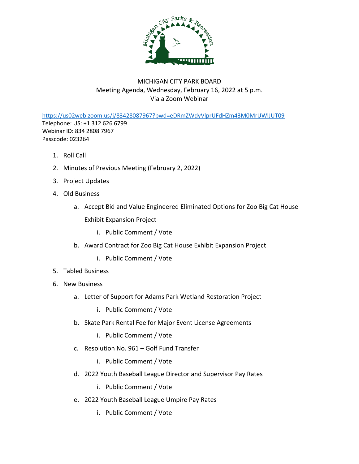

## MICHIGAN CITY PARK BOARD Meeting Agenda, Wednesday, February 16, 2022 at 5 p.m. Via a Zoom Webinar

<https://us02web.zoom.us/j/83428087967?pwd=eDRmZWdyVlprUFdHZm43M0MrUWlJUT09> Telephone: US: +1 312 626 6799 Webinar ID: 834 2808 7967 Passcode: 023264

- 1. Roll Call
- 2. Minutes of Previous Meeting (February 2, 2022)
- 3. Project Updates
- 4. Old Business
	- a. Accept Bid and Value Engineered Eliminated Options for Zoo Big Cat House Exhibit Expansion Project
		- i. Public Comment / Vote
	- b. Award Contract for Zoo Big Cat House Exhibit Expansion Project
		- i. Public Comment / Vote
- 5. Tabled Business
- 6. New Business
	- a. Letter of Support for Adams Park Wetland Restoration Project
		- i. Public Comment / Vote
	- b. Skate Park Rental Fee for Major Event License Agreements
		- i. Public Comment / Vote
	- c. Resolution No. 961 Golf Fund Transfer
		- i. Public Comment / Vote
	- d. 2022 Youth Baseball League Director and Supervisor Pay Rates
		- i. Public Comment / Vote
	- e. 2022 Youth Baseball League Umpire Pay Rates
		- i. Public Comment / Vote